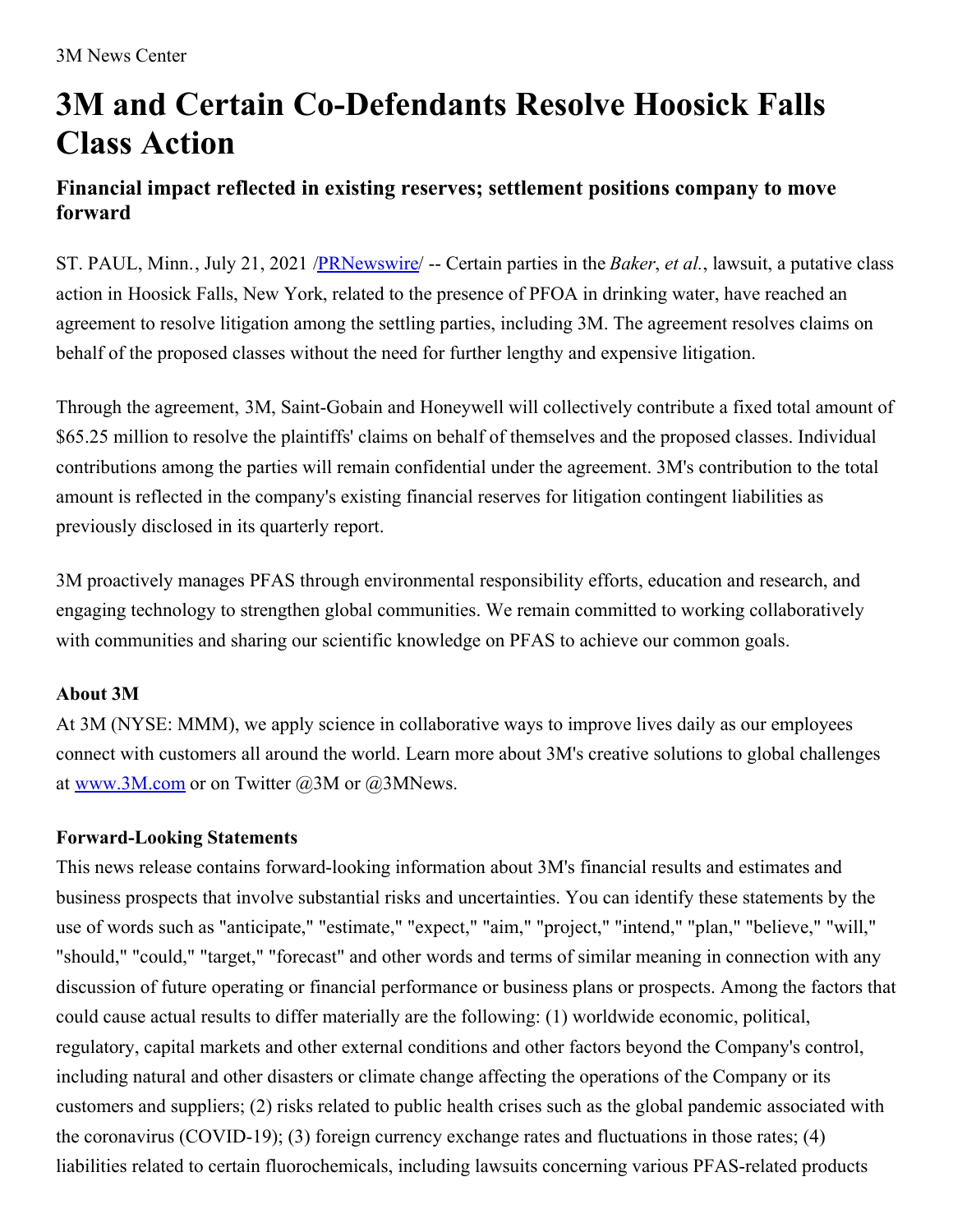# **3M and Certain Co-Defendants Resolve Hoosick Falls Class Action**

## **Financial impact reflected in existing reserves; settlement positions company to move forward**

ST. PAUL, Minn., July 21, 2021 [/PRNewswire](http://www.prnewswire.com/)/ -- Certain parties in the *Baker*, *et al.*, lawsuit, a putative class action in Hoosick Falls, New York, related to the presence of PFOA in drinking water, have reached an agreement to resolve litigation among the settling parties, including 3M. The agreement resolves claims on behalf of the proposed classes without the need for further lengthy and expensive litigation.

Through the agreement, 3M, Saint-Gobain and Honeywell will collectively contribute a fixed total amount of \$65.25 million to resolve the plaintiffs' claims on behalf of themselves and the proposed classes. Individual contributions among the parties will remain confidential under the agreement. 3M's contribution to the total amount is reflected in the company's existing financial reserves for litigation contingent liabilities as previously disclosed in its quarterly report.

3M proactively manages PFAS through environmental responsibility efforts, education and research, and engaging technology to strengthen global communities. We remain committed to working collaboratively with communities and sharing our scientific knowledge on PFAS to achieve our common goals.

### **About 3M**

At 3M (NYSE: MMM), we apply science in collaborative ways to improve lives daily as our employees connect with customers all around the world. Learn more about 3M's creative solutions to global challenges at [www.3M.com](https://c212.net/c/link/?t=0&l=en&o=3235512-1&h=113744905&u=http%3A%2F%2Fwww.3m.com%2F&a=www.3M.com) or on Twitter  $(a)$ 3M or  $(a)$ 3MNews.

### **Forward-Looking Statements**

This news release contains forward-looking information about 3M's financial results and estimates and business prospects that involve substantial risks and uncertainties. You can identify these statements by the use of words such as "anticipate," "estimate," "expect," "aim," "project," "intend," "plan," "believe," "will," "should," "could," "target," "forecast" and other words and terms of similar meaning in connection with any discussion of future operating or financial performance or business plans or prospects. Among the factors that could cause actual results to differ materially are the following: (1) worldwide economic, political, regulatory, capital markets and other external conditions and other factors beyond the Company's control, including natural and other disasters or climate change affecting the operations of the Company or its customers and suppliers; (2) risks related to public health crises such as the global pandemic associated with the coronavirus (COVID-19); (3) foreign currency exchange rates and fluctuations in those rates; (4) liabilities related to certain fluorochemicals, including lawsuits concerning various PFAS-related products